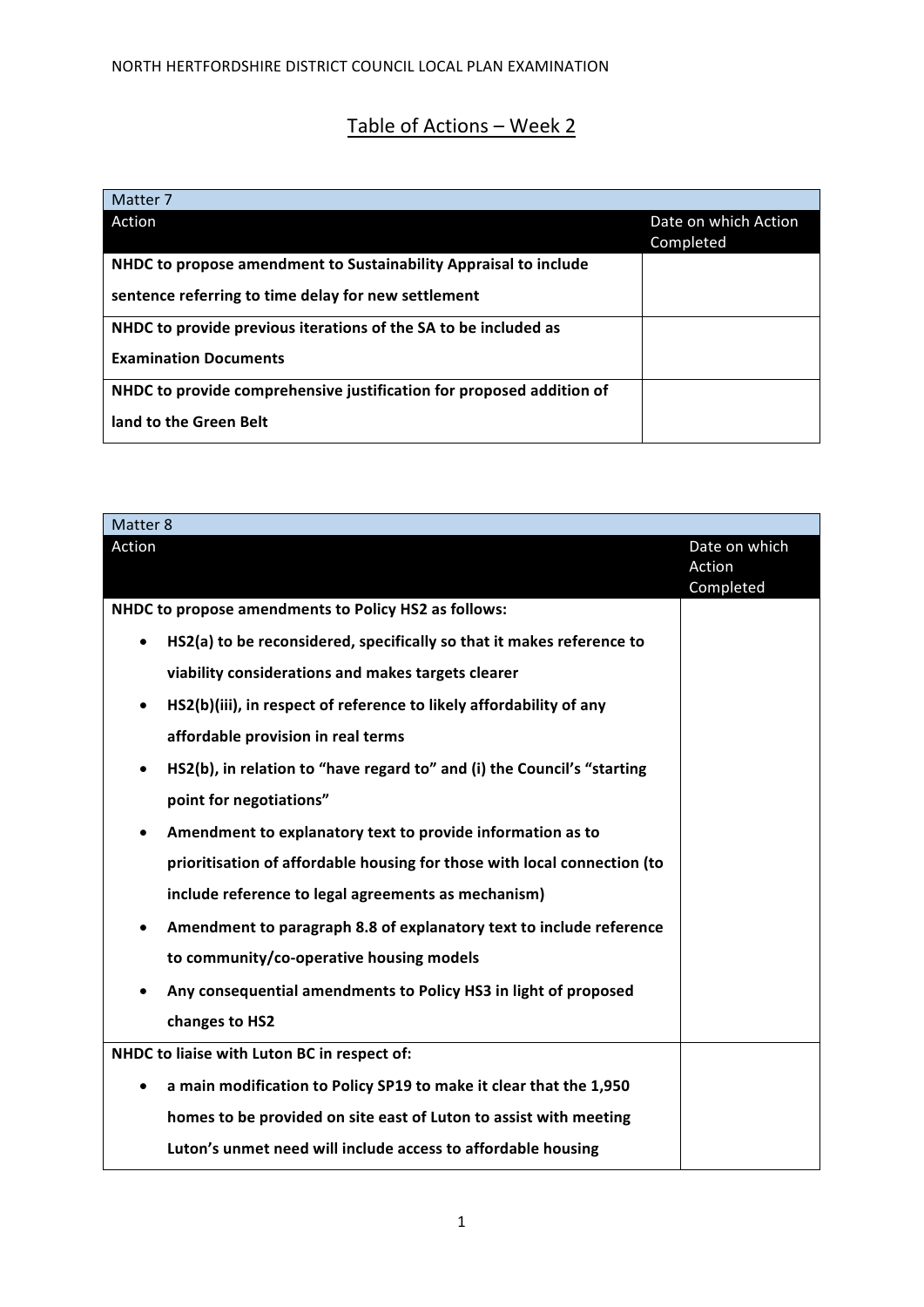## Table of Actions - Week 2

| Matter 7                                                             |                                   |
|----------------------------------------------------------------------|-----------------------------------|
| Action                                                               | Date on which Action<br>Completed |
| NHDC to propose amendment to Sustainability Appraisal to include     |                                   |
| sentence referring to time delay for new settlement                  |                                   |
| NHDC to provide previous iterations of the SA to be included as      |                                   |
| <b>Examination Documents</b>                                         |                                   |
| NHDC to provide comprehensive justification for proposed addition of |                                   |
| land to the Green Belt                                               |                                   |

| Matter 8                                                                             |                     |
|--------------------------------------------------------------------------------------|---------------------|
| Action                                                                               | Date on which       |
|                                                                                      | Action<br>Completed |
| NHDC to propose amendments to Policy HS2 as follows:                                 |                     |
| HS2(a) to be reconsidered, specifically so that it makes reference to<br>$\bullet$   |                     |
| viability considerations and makes targets clearer                                   |                     |
| HS2(b)(iii), in respect of reference to likely affordability of any<br>$\bullet$     |                     |
| affordable provision in real terms                                                   |                     |
| HS2(b), in relation to "have regard to" and (i) the Council's "starting<br>$\bullet$ |                     |
| point for negotiations"                                                              |                     |
| Amendment to explanatory text to provide information as to<br>$\bullet$              |                     |
| prioritisation of affordable housing for those with local connection (to             |                     |
| include reference to legal agreements as mechanism)                                  |                     |
| Amendment to paragraph 8.8 of explanatory text to include reference<br>$\bullet$     |                     |
| to community/co-operative housing models                                             |                     |
| Any consequential amendments to Policy HS3 in light of proposed<br>$\bullet$         |                     |
| changes to HS2                                                                       |                     |
| NHDC to liaise with Luton BC in respect of:                                          |                     |
| a main modification to Policy SP19 to make it clear that the 1,950<br>$\bullet$      |                     |
| homes to be provided on site east of Luton to assist with meeting                    |                     |
| Luton's unmet need will include access to affordable housing                         |                     |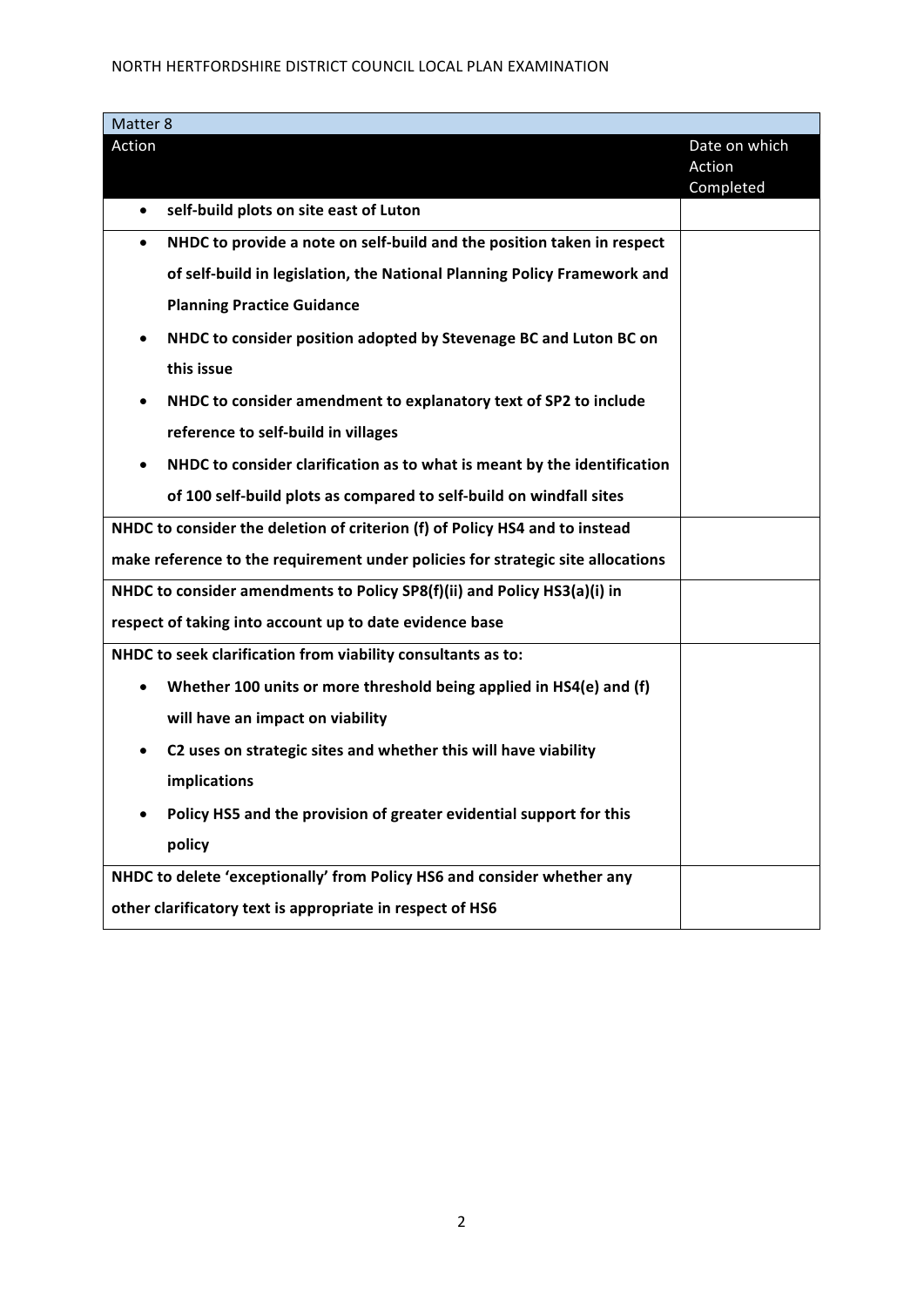## NORTH HERTFORDSHIRE DISTRICT COUNCIL LOCAL PLAN EXAMINATION

| Matter 8                                                                            |                                      |
|-------------------------------------------------------------------------------------|--------------------------------------|
| Action                                                                              | Date on which<br>Action<br>Completed |
| self-build plots on site east of Luton<br>$\bullet$                                 |                                      |
| NHDC to provide a note on self-build and the position taken in respect<br>$\bullet$ |                                      |
| of self-build in legislation, the National Planning Policy Framework and            |                                      |
| <b>Planning Practice Guidance</b>                                                   |                                      |
| NHDC to consider position adopted by Stevenage BC and Luton BC on                   |                                      |
| this issue                                                                          |                                      |
| NHDC to consider amendment to explanatory text of SP2 to include                    |                                      |
| reference to self-build in villages                                                 |                                      |
| NHDC to consider clarification as to what is meant by the identification            |                                      |
| of 100 self-build plots as compared to self-build on windfall sites                 |                                      |
| NHDC to consider the deletion of criterion (f) of Policy HS4 and to instead         |                                      |
| make reference to the requirement under policies for strategic site allocations     |                                      |
| NHDC to consider amendments to Policy SP8(f)(ii) and Policy HS3(a)(i) in            |                                      |
| respect of taking into account up to date evidence base                             |                                      |
| NHDC to seek clarification from viability consultants as to:                        |                                      |
| Whether 100 units or more threshold being applied in HS4(e) and (f)                 |                                      |
| will have an impact on viability                                                    |                                      |
| C2 uses on strategic sites and whether this will have viability<br>٠                |                                      |
| implications                                                                        |                                      |
| Policy HS5 and the provision of greater evidential support for this                 |                                      |
| policy                                                                              |                                      |
| NHDC to delete 'exceptionally' from Policy HS6 and consider whether any             |                                      |
| other clarificatory text is appropriate in respect of HS6                           |                                      |